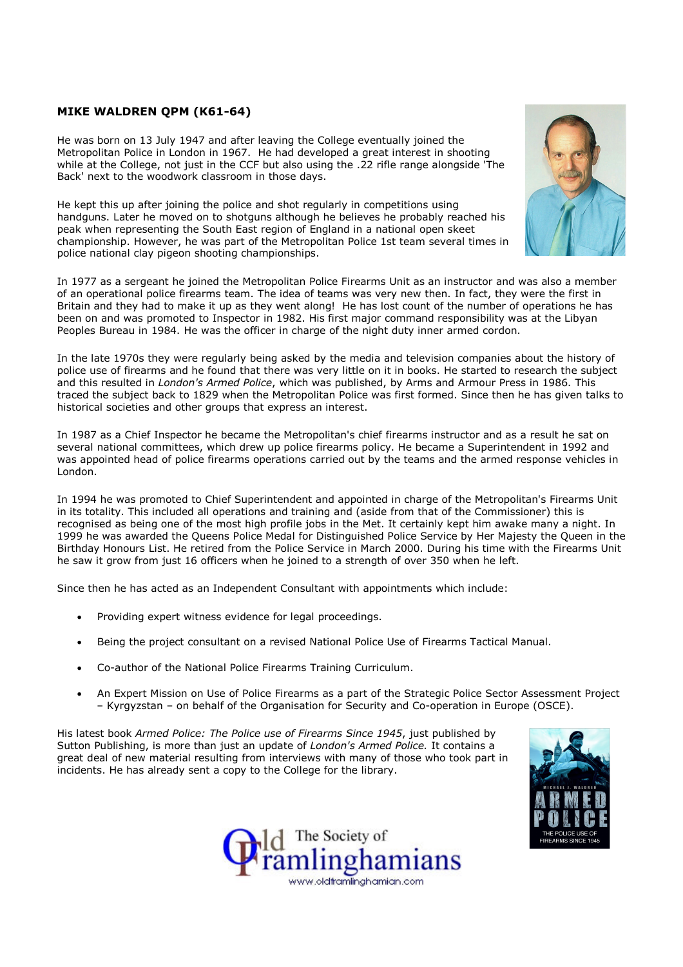## MIKE WALDREN QPM (K61-64)

He was born on 13 July 1947 and after leaving the College eventually joined the Metropolitan Police in London in 1967. He had developed a great interest in shooting while at the College, not just in the CCF but also using the .22 rifle range alongside 'The Back' next to the woodwork classroom in those days.

He kept this up after joining the police and shot regularly in competitions using handguns. Later he moved on to shotguns although he believes he probably reached his peak when representing the South East region of England in a national open skeet championship. However, he was part of the Metropolitan Police 1st team several times in police national clay pigeon shooting championships.



In 1977 as a sergeant he joined the Metropolitan Police Firearms Unit as an instructor and was also a member of an operational police firearms team. The idea of teams was very new then. In fact, they were the first in Britain and they had to make it up as they went along! He has lost count of the number of operations he has been on and was promoted to Inspector in 1982. His first major command responsibility was at the Libyan Peoples Bureau in 1984. He was the officer in charge of the night duty inner armed cordon.

In the late 1970s they were regularly being asked by the media and television companies about the history of police use of firearms and he found that there was very little on it in books. He started to research the subject and this resulted in London's Armed Police, which was published, by Arms and Armour Press in 1986. This traced the subject back to 1829 when the Metropolitan Police was first formed. Since then he has given talks to historical societies and other groups that express an interest.

In 1987 as a Chief Inspector he became the Metropolitan's chief firearms instructor and as a result he sat on several national committees, which drew up police firearms policy. He became a Superintendent in 1992 and was appointed head of police firearms operations carried out by the teams and the armed response vehicles in London.

In 1994 he was promoted to Chief Superintendent and appointed in charge of the Metropolitan's Firearms Unit in its totality. This included all operations and training and (aside from that of the Commissioner) this is recognised as being one of the most high profile jobs in the Met. It certainly kept him awake many a night. In 1999 he was awarded the Queens Police Medal for Distinguished Police Service by Her Majesty the Queen in the Birthday Honours List. He retired from the Police Service in March 2000. During his time with the Firearms Unit he saw it grow from just 16 officers when he joined to a strength of over 350 when he left.

Since then he has acted as an Independent Consultant with appointments which include:

- Providing expert witness evidence for legal proceedings.
- Being the project consultant on a revised National Police Use of Firearms Tactical Manual.
- Co-author of the National Police Firearms Training Curriculum.
- An Expert Mission on Use of Police Firearms as a part of the Strategic Police Sector Assessment Project – Kyrgyzstan – on behalf of the Organisation for Security and Co-operation in Europe (OSCE).

His latest book Armed Police: The Police use of Firearms Since 1945, just published by Sutton Publishing, is more than just an update of London's Armed Police. It contains a great deal of new material resulting from interviews with many of those who took part in incidents. He has already sent a copy to the College for the library.